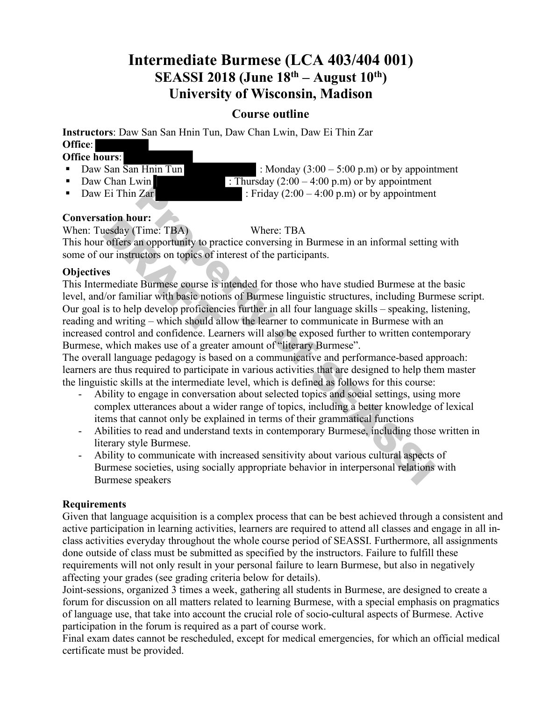# **Intermediate Burmese (LCA 403/404 001) SEASSI 2018 (June 18<sup>th</sup> – August 10<sup>th</sup>) University of Wisconsin, Madison**

## **Course outline**

**Instructors**: Daw San San Hnin Tun, Daw Chan Lwin, Daw Ei Thin Zar **Office**:

# **Office hours**:

- 
- 
- 

• Daw San  $\overline{San Hnin Tun}$  : Monday  $(3:00 - 5:00 \text{ p.m})$  or by appointment • Daw Chan Lwin : Thursday  $(2:00 - 4:00 \text{ p.m})$  or by appointment

• Daw Ei Thin Zar : Friday  $(2:00 - 4:00 \text{ p.m})$  or by appointment

## **Conversation hour:**

When: Tuesday (Time: TBA) Where: TBA

This hour offers an opportunity to practice conversing in Burmese in an informal setting with some of our instructors on topics of interest of the participants.

## **Objectives**

This Intermediate Burmese course is intended for those who have studied Burmese at the basic level, and/or familiar with basic notions of Burmese linguistic structures, including Burmese script. Our goal is to help develop proficiencies further in all four language skills – speaking, listening, reading and writing – which should allow the learner to communicate in Burmese with an increased control and confidence. Learners will also be exposed further to written contemporary Burmese, which makes use of a greater amount of "literary Burmese". **EXECUTE:** Friday (2:00 – 4:00 p.m) or by appointment<br>
Time. TBA<br>
UPIT:<br>
Time. TBA<br>
Where: TBA<br>
where: TBA<br>
and opportunity to practice conversing in Burmese in an informal setting<br>
uctors on topics of interest of the par The state of Time: TBA)<br>
The state of Time: TBA<br>
The state of the state of the state of the state of the state of the state of the state of the state of the state of the state of the state of the state of the state of the

The overall language pedagogy is based on a communicative and performance-based approach: learners are thus required to participate in various activities that are designed to help them master the linguistic skills at the intermediate level, which is defined as follows for this course:

- Ability to engage in conversation about selected topics and social settings, using more complex utterances about a wider range of topics, including a better knowledge of lexical items that cannot only be explained in terms of their grammatical functions
- Abilities to read and understand texts in contemporary Burmese, including those written in literary style Burmese.
- Ability to communicate with increased sensitivity about various cultural aspects of Burmese societies, using socially appropriate behavior in interpersonal relations with Burmese speakers

## **Requirements**

Given that language acquisition is a complex process that can be best achieved through a consistent and active participation in learning activities, learners are required to attend all classes and engage in all inclass activities everyday throughout the whole course period of SEASSI. Furthermore, all assignments done outside of class must be submitted as specified by the instructors. Failure to fulfill these requirements will not only result in your personal failure to learn Burmese, but also in negatively affecting your grades (see grading criteria below for details).

Joint-sessions, organized 3 times a week, gathering all students in Burmese, are designed to create a forum for discussion on all matters related to learning Burmese, with a special emphasis on pragmatics of language use, that take into account the crucial role of socio-cultural aspects of Burmese. Active participation in the forum is required as a part of course work.

Final exam dates cannot be rescheduled, except for medical emergencies, for which an official medical certificate must be provided.